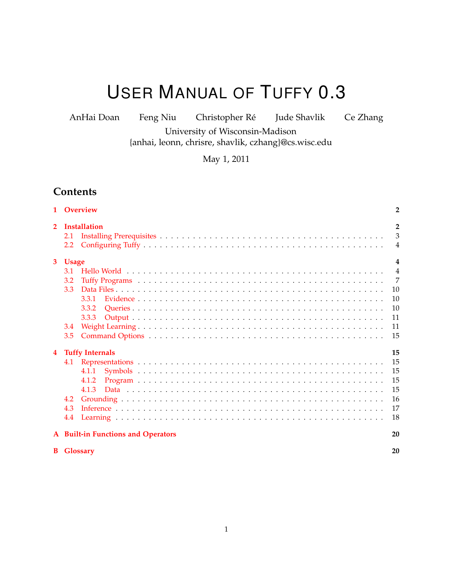# USER MANUAL OF TUFFY 0.3

AnHai Doan Feng Niu Christopher Ré Jude Shavlik Ce Zhang University of Wisconsin-Madison

{anhai, leonn, chrisre, shavlik, czhang}@cs.wisc.edu

May 1, 2011

# **Contents**

|                         | 1 Overview                         | $\overline{2}$                                     |
|-------------------------|------------------------------------|----------------------------------------------------|
| $\overline{2}$          | Installation<br>2.1<br>2.2         | $\overline{2}$<br>$\overline{3}$<br>$\overline{4}$ |
| $3^{\circ}$             | <b>Usage</b>                       | $\overline{4}$                                     |
|                         | 3.1                                | $\overline{4}$                                     |
|                         | 3.2                                | 7                                                  |
|                         | 3.3                                | 10                                                 |
|                         | 3.3.1                              | 10                                                 |
|                         | 3.3.2                              | 10                                                 |
|                         | 3.3.3                              | 11                                                 |
|                         | 3.4                                | 11                                                 |
|                         | 3.5                                | 15                                                 |
| $\overline{\mathbf{4}}$ | <b>Tuffy Internals</b>             | 15                                                 |
|                         |                                    | 15                                                 |
|                         | 4.1.1                              | 15                                                 |
|                         | 4.1.2                              | 15                                                 |
|                         | 4.1.3                              | 15                                                 |
|                         | 4.2                                | 16                                                 |
|                         | 4.3                                | 17                                                 |
|                         | 4.4                                | 18                                                 |
|                         | A Built-in Functions and Operators | 20                                                 |
|                         | <b>B</b> Glossary                  | 20                                                 |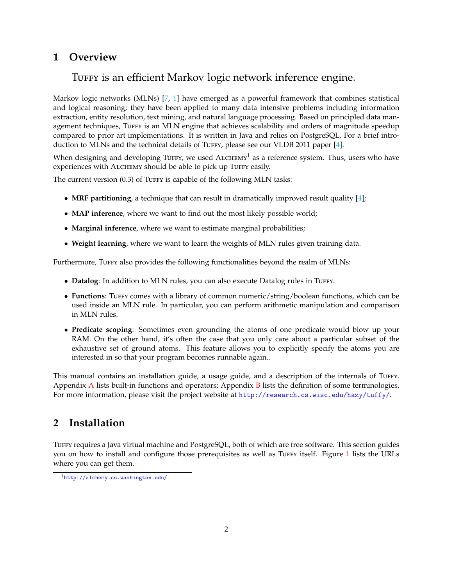# <span id="page-1-2"></span><span id="page-1-0"></span>**1 Overview**

# TUFFY is an efficient Markov logic network inference engine.

Markov logic networks (MLNs) [\[7,](#page-17-1) [1\]](#page-17-2) have emerged as a powerful framework that combines statistical and logical reasoning; they have been applied to many data intensive problems including information extraction, entity resolution, text mining, and natural language processing. Based on principled data management techniques, TUFFY is an MLN engine that achieves scalability and orders of magnitude speedup compared to prior art implementations. It is written in Java and relies on PostgreSQL. For a brief intro-duction to MLNs and the technical details of Turry, please see our VLDB 2011 paper [\[4\]](#page-17-3).

When designing and developing TuFFY, we used  $A$ LCHEMY<sup>1</sup> as a reference system. Thus, users who have experiences with ALCHEMY should be able to pick up TUFFY easily.

The current version  $(0.3)$  of Turry is capable of the following MLN tasks:

- **MRF partitioning**, a technique that can result in dramatically improved result quality [\[4\]](#page-17-3);
- **MAP inference**, where we want to find out the most likely possible world;
- **Marginal inference**, where we want to estimate marginal probabilities;
- **Weight learning**, where we want to learn the weights of MLN rules given training data.

Furthermore, Turry also provides the following functionalities beyond the realm of MLNs:

- **Datalog**: In addition to MLN rules, you can also execute Datalog rules in TUFFY.
- **Functions**: Tuffy comes with a library of common numeric/string/boolean functions, which can be used inside an MLN rule. In particular, you can perform arithmetic manipulation and comparison in MLN rules.
- **Predicate scoping**: Sometimes even grounding the atoms of one predicate would blow up your RAM. On the other hand, it's often the case that you only care about a particular subset of the exhaustive set of ground atoms. This feature allows you to explicitly specify the atoms you are interested in so that your program becomes runnable again..

This manual contains an installation guide, a usage guide, and a description of the internals of Turry. [A](#page-19-2)ppendix  $\bf{A}$  lists built-in functions and operators; Appendix  $\bf{B}$  $\bf{B}$  $\bf{B}$  lists the definition of some terminologies. For more information, please visit the project website at <http://research.cs.wisc.edu/hazy/tuffy/>.

# <span id="page-1-1"></span>**2 Installation**

TUFFY requires a Java virtual machine and PostgreSQL, both of which are free software. This section guides you on how to install and configure those prerequisites as well as Turry itself. Figure [1](#page-2-1) lists the URLs where you can get them.

<sup>1</sup><http://alchemy.cs.washington.edu/>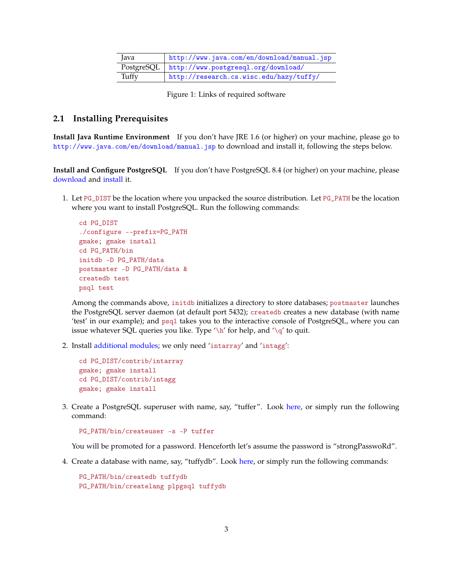<span id="page-2-1"></span>

| Java  | http://www.java.com/en/download/manual.jsp       |
|-------|--------------------------------------------------|
|       | PostgreSQL   http://www.postgresql.org/download/ |
| Tuffy | http://research.cs.wisc.edu/hazy/tuffy/          |

Figure 1: Links of required software

#### <span id="page-2-0"></span>**2.1 Installing Prerequisites**

**Install Java Runtime Environment** If you don't have JRE 1.6 (or higher) on your machine, please go to <http://www.java.com/en/download/manual.jsp> to download and install it, following the steps below.

**Install and Configure PostgreSQL** If you don't have PostgreSQL 8.4 (or higher) on your machine, please [download](http://www.postgresql.org/download/) and [install](http://www.postgresql.org/docs/current/static/install-short.html) it.

1. Let PG\_DIST be the location where you unpacked the source distribution. Let PG\_PATH be the location where you want to install PostgreSQL. Run the following commands:

```
cd PG_DIST
./configure --prefix=PG_PATH
gmake; gmake install
cd PG_PATH/bin
initdb -D PG_PATH/data
postmaster -D PG_PATH/data &
createdb test
psql test
```
Among the commands above, initdb initializes a directory to store databases; postmaster launches the PostgreSQL server daemon (at default port 5432); createdb creates a new database (with name 'test' in our example); and psql takes you to the interactive console of PostgreSQL, where you can issue whatever SQL queries you like. Type  $\hbar$  for help, and  $\hbar$  to quit.

2. Install [additional modules;](http://www.postgresql.org/docs/current/interactive/contrib.html) we only need 'intarray' and 'intagg':

```
cd PG_DIST/contrib/intarray
gmake; gmake install
cd PG_DIST/contrib/intagg
gmake; gmake install
```
3. Create a PostgreSQL superuser with name, say, "tuffer". Look [here,](http://www.postgresql.org/docs/current/static/app-createuser.html) or simply run the following command:

```
PG_PATH/bin/createuser -s -P tuffer
```
You will be promoted for a password. Henceforth let's assume the password is "strongPasswoRd".

4. Create a database with name, say, "tuffydb". Look [here,](http://www.postgresql.org/docs/current/static/app-createdb.html) or simply run the following commands:

PG\_PATH/bin/createdb tuffydb PG\_PATH/bin/createlang plpgsql tuffydb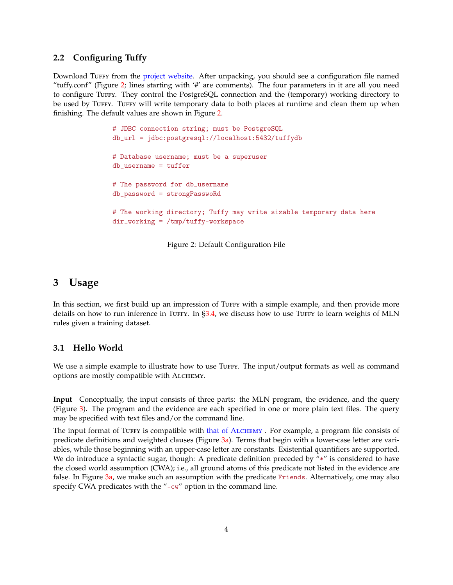## <span id="page-3-0"></span>**2.2 Configuring Tuffy**

<span id="page-3-3"></span>Download Tuffy from the [project website.](http://research.cs.wisc.edu/hazy/tuffy/) After unpacking, you should see a configuration file named "tuffy.conf" (Figure [2;](#page-3-3) lines starting with '#' are comments). The four parameters in it are all you need to configure Tuffy. They control the PostgreSQL connection and the (temporary) working directory to be used by TUFFY. TUFFY will write temporary data to both places at runtime and clean them up when finishing. The default values are shown in Figure [2.](#page-3-3)

```
# JDBC connection string; must be PostgreSQL
db_url = jdbc:postgresql://localhost:5432/tuffydb
# Database username; must be a superuser
db_username = tuffer
# The password for db_username
db_password = strongPasswoRd
# The working directory; Tuffy may write sizable temporary data here
dir_working = /tmp/tuffy-workspace
```
Figure 2: Default Configuration File

## <span id="page-3-1"></span>**3 Usage**

In this section, we first build up an impression of TUFFY with a simple example, and then provide more details on how to run inference in TuFFY. In  $\S 3.4$ , we discuss how to use TuFFY to learn weights of MLN rules given a training dataset.

## <span id="page-3-2"></span>**3.1 Hello World**

We use a simple example to illustrate how to use Turry. The input/output formats as well as command options are mostly compatible with ALCHEMY.

**Input** Conceptually, the input consists of three parts: the MLN program, the evidence, and the query (Figure [3\)](#page-4-0). The program and the evidence are each specified in one or more plain text files. The query may be specified with text files and/or the command line.

The input format of TUFFY is compatible with [that of A](http://alchemy.cs.washington.edu/user-manual/3_1Input_Files.html)LCHEMY . For example, a program file consists of predicate definitions and weighted clauses (Figure  $3a$ ). Terms that begin with a lower-case letter are variables, while those beginning with an upper-case letter are constants. Existential quantifiers are supported. We do introduce a syntactic sugar, though: A predicate definition preceded by "\*" is considered to have the closed world assumption (CWA); i.e., all ground atoms of this predicate not listed in the evidence are false. In Figure [3a,](#page-4-1) we make such an assumption with the predicate Friends. Alternatively, one may also specify CWA predicates with the "-cw" option in the command line.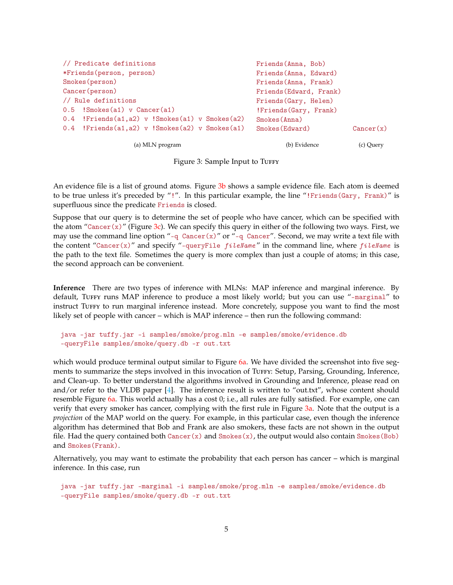<span id="page-4-4"></span><span id="page-4-1"></span><span id="page-4-0"></span>

| // Predicate definitions                       | Friends (Anna, Bob)     |           |
|------------------------------------------------|-------------------------|-----------|
| *Friends (person, person)                      | Friends (Anna, Edward)  |           |
| Smokes (person)                                | Friends (Anna, Frank)   |           |
| Cancer (person)                                | Friends (Edward, Frank) |           |
| // Rule definitions                            | Friends (Gary, Helen)   |           |
| $0.5$ !Smokes(a1) v Cancer(a1)                 | !Friends (Gary, Frank)  |           |
| 0.4 !Friends(a1,a2) v !Smokes(a1) v Smokes(a2) | Smokes (Anna)           |           |
| 0.4 !Friends(a1,a2) v !Smokes(a2) v Smokes(a1) | Smokes (Edward)         | Cancer(x) |
| (a) MLN program                                | (b) Evidence            | (c) Query |

<span id="page-4-3"></span><span id="page-4-2"></span>Figure 3: Sample Input to TUFFY

An evidence file is a list of ground atoms. Figure [3b](#page-4-2) shows a sample evidence file. Each atom is deemed to be true unless it's preceded by "!". In this particular example, the line "!Friends(Gary, Frank)" is superfluous since the predicate Friends is closed.

Suppose that our query is to determine the set of people who have cancer, which can be specified with the atom "Cancer(x)" (Figure [3c\)](#page-4-3). We can specify this query in either of the following two ways. First, we may use the command line option "-q  $\text{Cancer}(x)$ " or "-q  $\text{Cancer}$ ". Second, we may write a text file with the content "Cancer(x)" and specify "-queryFile  $fileName$ " in the command line, where  $fileName$  is the path to the text file. Sometimes the query is more complex than just a couple of atoms; in this case, the second approach can be convenient.

**Inference** There are two types of inference with MLNs: MAP inference and marginal inference. By default, TUFFY runs MAP inference to produce a most likely world; but you can use "-marginal" to instruct Tuffy to run marginal inference instead. More concretely, suppose you want to find the most likely set of people with cancer – which is MAP inference – then run the following command:

```
java -jar tuffy.jar -i samples/smoke/prog.mln -e samples/smoke/evidence.db
-queryFile samples/smoke/query.db -r out.txt
```
which would produce terminal output similar to Figure [6a.](#page-6-1) We have divided the screenshot into five segments to summarize the steps involved in this invocation of Turry: Setup, Parsing, Grounding, Inference, and Clean-up. To better understand the algorithms involved in Grounding and Inference, please read on and/or refer to the VLDB paper [\[4\]](#page-17-3). The inference result is written to "out.txt", whose content should resemble Figure [6a.](#page-6-1) This world actually has a cost 0; i.e., all rules are fully satisfied. For example, one can verify that every smoker has cancer, complying with the first rule in Figure [3a.](#page-4-1) Note that the output is a *projection* of the MAP world on the query. For example, in this particular case, even though the inference algorithm has determined that Bob and Frank are also smokers, these facts are not shown in the output file. Had the query contained both  $\text{Cancer}(x)$  and  $\text{Smokes}(x)$ , the output would also contain  $\text{Smokes}(Bob)$ and Smokes(Frank).

Alternatively, you may want to estimate the probability that each person has cancer – which is marginal inference. In this case, run

java -jar tuffy.jar -marginal -i samples/smoke/prog.mln -e samples/smoke/evidence.db -queryFile samples/smoke/query.db -r out.txt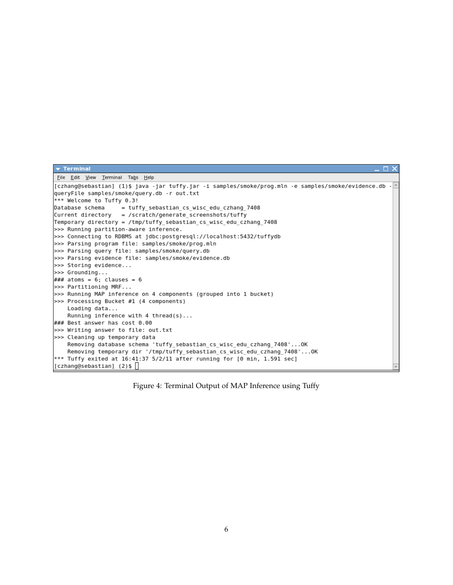| $\blacktriangledown$ Terminal<br>$\Box$ $\times$                                                      |  |
|-------------------------------------------------------------------------------------------------------|--|
| File Edit View Terminal Tabs Help                                                                     |  |
| [czhang@sebastian] (1)\$ java -jar tuffy.jar -i samples/smoke/prog.mln -e samples/smoke/evidence.db - |  |
| queryFile samples/smoke/query.db -r out.txt                                                           |  |
| *** Welcome to Tuffy 0.3!                                                                             |  |
| Database schema<br>= tuffy sebastian cs wisc edu czhang 7408                                          |  |
| Current directory = /scratch/generate screenshots/tuffy                                               |  |
| Temporary directory = /tmp/tuffy sebastian cs wisc edu czhang 7408                                    |  |
| >>> Running partition-aware inference.                                                                |  |
| >>> Connecting to RDBMS at jdbc:postgresql://localhost:5432/tuffydb                                   |  |
| >>> Parsing program file: samples/smoke/prog.mln                                                      |  |
| >>> Parsing query file: samples/smoke/query.db                                                        |  |
| >>> Parsing evidence file: samples/smoke/evidence.db                                                  |  |
| >>> Storing evidence                                                                                  |  |
| $>>$ Grounding                                                                                        |  |
| ### atoms = 6; clauses = 6                                                                            |  |
| >>> Partitioning MRF                                                                                  |  |
| >>> Running MAP inference on 4 components (grouped into 1 bucket)                                     |  |
| >>> Processing Bucket #1 (4 components)                                                               |  |
| Loading data                                                                                          |  |
| Running inference with $4$ thread(s)                                                                  |  |
| ### Best answer has cost 0.00                                                                         |  |
| >>> Writing answer to file: out.txt                                                                   |  |
| >>> Cleaning up temporary data                                                                        |  |
| Removing database schema 'tuffy sebastian cs wisc edu czhang 7408'OK                                  |  |
| Removing temporary dir '/tmp/tuffy_sebastian_cs_wisc_edu_czhang_7408'OK                               |  |
| *** Tuffy exited at 16:41:37 5/2/11 after running for [0 min, 1.591 sec]                              |  |
| [[czhang@sebastian] (2)\$                                                                             |  |

Figure 4: Terminal Output of MAP Inference using Tuffy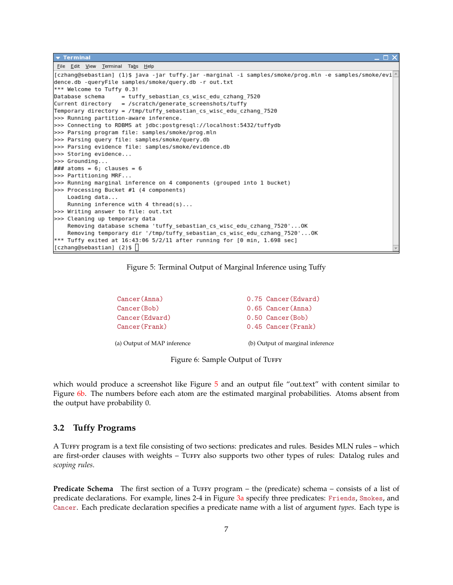```
\overline{\phantom{a}} Terminal
 File Edit View Terminal Tabs Help
[czhang@sebastian] (1)$ java -jar tuffy.jar -marginal -i samples/smoke/prog.mln -e samples/smoke/evi
dence.db -queryFile samples/smoke/query.db -r out.txt
*** Welcome to Tuffy 0.3!
                  = tuffy_sebastian_cs_wisc_edu_czhang_7520
Database schema
Current directory = /scratch/generate screenshots/tuffy
Temporary directory = /tmp/tuffy_sebastian_cs_wisc_edu_czhang_7520
>>> Running partition-aware inference.
>>> Connecting to RDBMS at jdbc:postgresql://localhost:5432/tuffydb
>>> Parsing program file: samples/smoke/prog.mln
>>> Parsing query file: samples/smoke/query.db
>>> Parsing evidence file: samples/smoke/evidence.db
>>> Storing evidence...
>>> Grounding...
\# \# \# atoms = 6; clauses = 6
>>> Partitioning MRF...
>>> Running marginal inference on 4 components (grouped into 1 bucket)
>>> Processing Bucket #1 (4 components)
   Loading data...
   Running inference with 4 thread(s)...
>>> Writing answer to file: out.txt
>>> Cleaning up temporary data
    Removing database schema 'tuffy_sebastian_cs_wisc_edu_czhang_7520'...OK
    Removing temporary dir '/tmp/tuffy_sebastian_cs_wisc_edu_czhang_7520'...OK
*** Tuffy exited at 16:43:06 5/2/11 after running for [0 min, 1.698 sec]
[czhang@sebastian] (2)$
```


<span id="page-6-1"></span>Cancer(Anna) Cancer(Bob) Cancer(Edward) Cancer(Frank) (a) Output of MAP inference 0.75 Cancer(Edward) 0.65 Cancer(Anna) 0.50 Cancer(Bob) 0.45 Cancer(Frank) (b) Output of marginal inference

<span id="page-6-3"></span>Figure 6: Sample Output of TUFFY

which would produce a screenshot like Figure [5](#page-6-2) and an output file "out.text" with content similar to Figure [6b.](#page-6-3) The numbers before each atom are the estimated marginal probabilities. Atoms absent from the output have probability 0.

## <span id="page-6-0"></span>**3.2 Tuffy Programs**

A Tuffy program is a text file consisting of two sections: predicates and rules. Besides MLN rules – which are first-order clauses with weights – Turfy also supports two other types of rules: Datalog rules and *scoping rules*.

**Predicate Schema** The first section of a TUFFY program – the (predicate) schema – consists of a list of predicate declarations. For example, lines 2-4 in Figure [3a](#page-4-1) specify three predicates: Friends, Smokes, and Cancer. Each predicate declaration specifies a predicate name with a list of argument *types*. Each type is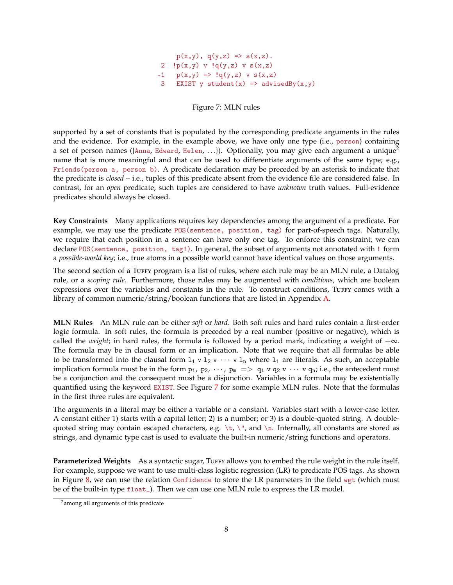$p(x,y), q(y,z) \Rightarrow s(x,z)$ . 2  $!p(x,y)$  v  $!q(y,z)$  v  $s(x,z)$  $-1$  p(x,y) =>  $!q(y,z)$  v s(x,z) 3 EXIST y student(x) => advisedBy(x,y)

Figure 7: MLN rules

<span id="page-7-0"></span>supported by a set of constants that is populated by the corresponding predicate arguments in the rules and the evidence. For example, in the example above, we have only one type (i.e., person) containing a set of person names ({Anna, Edward, Helen, ...}). Optionally, you may give each argument a unique<sup>2</sup> name that is more meaningful and that can be used to differentiate arguments of the same type; e.g., Friends(person a, person b). A predicate declaration may be preceded by an asterisk to indicate that the predicate is *closed* – i.e., tuples of this predicate absent from the evidence file are considered false. In contrast, for an *open* predicate, such tuples are considered to have *unknown* truth values. Full-evidence predicates should always be closed.

**Key Constraints** Many applications requires key dependencies among the argument of a predicate. For example, we may use the predicate POS(sentence, position, tag) for part-of-speech tags. Naturally, we require that each position in a sentence can have only one tag. To enforce this constraint, we can declare POS(sentence, position, tag!). In general, the subset of arguments not annotated with ! form a *possible-world key*; i.e., true atoms in a possible world cannot have identical values on those arguments.

The second section of a TuFFY program is a list of rules, where each rule may be an MLN rule, a Datalog rule, or a *scoping rule*. Furthermore, those rules may be augmented with *conditions*, which are boolean expressions over the variables and constants in the rule. To construct conditions, TUFFY comes with a library of common numeric/string/boolean functions that are listed in Appendix [A.](#page-19-2)

**MLN Rules** An MLN rule can be either *soft* or *hard*. Both soft rules and hard rules contain a first-order logic formula. In soft rules, the formula is preceded by a real number (positive or negative), which is called the *weight*; in hard rules, the formula is followed by a period mark, indicating a weight of  $+\infty$ . The formula may be in clausal form or an implication. Note that we require that all formulas be able to be transformed into the clausal form  $1_1 \text{ v } 1_2 \text{ v } \cdots \text{ v } 1_n$  where  $1_i$  are literals. As such, an acceptable implication formula must be in the form  $p_1$ ,  $p_2$ ,  $\cdots$ ,  $p_m \implies q_1 \vee q_2 \vee \cdots \vee q_n$ ; i.e., the antecedent must be a conjunction and the consequent must be a disjunction. Variables in a formula may be existentially quantified using the keyword EXIST. See Figure [7](#page-7-0) for some example MLN rules. Note that the formulas in the first three rules are equivalent.

The arguments in a literal may be either a variable or a constant. Variables start with a lower-case letter. A constant either 1) starts with a capital letter; 2) is a number; or 3) is a double-quoted string. A doublequoted string may contain escaped characters, e.g.  $\t, \t, \t, \t, \t, \t$ , and  $\n$ . Internally, all constants are stored as strings, and dynamic type cast is used to evaluate the built-in numeric/string functions and operators.

**Parameterized Weights** As a syntactic sugar, TUFFY allows you to embed the rule weight in the rule itself. For example, suppose we want to use multi-class logistic regression (LR) to predicate POS tags. As shown in Figure [8,](#page-8-0) we can use the relation Confidence to store the LR parameters in the field  $wgt$  (which must be of the built-in type float\_). Then we can use one MLN rule to express the LR model.

<sup>2</sup>among all arguments of this predicate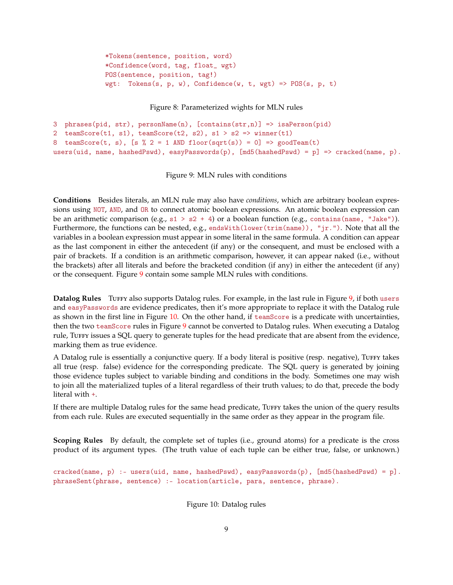```
*Tokens(sentence, position, word)
*Confidence(word, tag, float_ wgt)
POS(sentence, position, tag!)
wgt: Tokens(s, p, w), Confidence(w, t, wgt) => POS(s, p, t)
```
Figure 8: Parameterized wights for MLN rules

```
3 phrases(pid, str), personName(n), [contains(str,n)] => isaPerson(pid)
2 teamScore(t1, s1), teamScore(t2, s2), s1 > s2 => winner(t1)
8 teamScore(t, s), [s % 2 = 1 AND floor(sqrt(s)) = 0] => goodTeam(t)
users(uid, name, hashedPswd), easyPasswords(p), [md5(hashedPswd) = p] => cracked(name, p).
```
Figure 9: MLN rules with conditions

**Conditions** Besides literals, an MLN rule may also have *conditions*, which are arbitrary boolean expressions using NOT, AND, and OR to connect atomic boolean expressions. An atomic boolean expression can be an arithmetic comparison (e.g.,  $s1 > s2 + 4$ ) or a boolean function (e.g., contains(name, "Jake")). Furthermore, the functions can be nested, e.g., endsWith(lower(trim(name)), "jr."). Note that all the variables in a boolean expression must appear in some literal in the same formula. A condition can appear as the last component in either the antecedent (if any) or the consequent, and must be enclosed with a pair of brackets. If a condition is an arithmetic comparison, however, it can appear naked (i.e., without the brackets) after all literals and before the bracketed condition (if any) in either the antecedent (if any) or the consequent. Figure [9](#page-8-1) contain some sample MLN rules with conditions.

**Datalog Rules** TUFFY also supports Datalog rules. For example, in the last rule in Figure [9,](#page-8-1) if both users and easyPasswords are evidence predicates, then it's more appropriate to replace it with the Datalog rule as shown in the first line in Figure [10.](#page-8-2) On the other hand, if teamScore is a predicate with uncertainties, then the two teamScore rules in Figure [9](#page-8-1) cannot be converted to Datalog rules. When executing a Datalog rule, TuFFY issues a SQL query to generate tuples for the head predicate that are absent from the evidence, marking them as true evidence.

A Datalog rule is essentially a conjunctive query. If a body literal is positive (resp. negative), Tuffy takes all true (resp. false) evidence for the corresponding predicate. The SQL query is generated by joining those evidence tuples subject to variable binding and conditions in the body. Sometimes one may wish to join all the materialized tuples of a literal regardless of their truth values; to do that, precede the body literal with +.

If there are multiple Datalog rules for the same head predicate, TUFFY takes the union of the query results from each rule. Rules are executed sequentially in the same order as they appear in the program file.

**Scoping Rules** By default, the complete set of tuples (i.e., ground atoms) for a predicate is the cross product of its argument types. (The truth value of each tuple can be either true, false, or unknown.)

```
cracked(name, p) :- users(uid, name, hashedPswd), easyPasswords(p), [md5(hashedPswd) = p].
phraseSent(phrase, sentence) :- location(article, para, sentence, phrase).
```
Figure 10: Datalog rules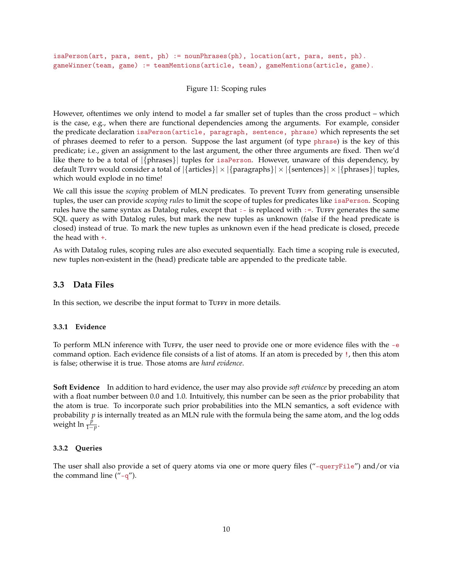isaPerson(art, para, sent, ph) := nounPhrases(ph), location(art, para, sent, ph). gameWinner(team, game) := teamMentions(article, team), gameMentions(article, game).

#### Figure 11: Scoping rules

However, oftentimes we only intend to model a far smaller set of tuples than the cross product – which is the case, e.g., when there are functional dependencies among the arguments. For example, consider the predicate declaration isaPerson(article, paragraph, sentence, phrase) which represents the set of phrases deemed to refer to a person. Suppose the last argument (of type phrase) is the key of this predicate; i.e., given an assignment to the last argument, the other three arguments are fixed. Then we'd like there to be a total of |{phrases}| tuples for isaPerson. However, unaware of this dependency, by default Tuffy would consider a total of  $|\{\text{articles}\}\times|\{\text{parameters}\}\times|\{\text{sentences}\}\times|\{\text{phrases}\}\|$  tuples, which would explode in no time!

We call this issue the *scoping* problem of MLN predicates. To prevent TuFFY from generating unsensible tuples, the user can provide *scoping rules* to limit the scope of tuples for predicates like isaPerson. Scoping rules have the same syntax as Datalog rules, except that  $:-$  is replaced with  $:=$ . Tuffy generates the same SQL query as with Datalog rules, but mark the new tuples as unknown (false if the head predicate is closed) instead of true. To mark the new tuples as unknown even if the head predicate is closed, precede the head with +.

As with Datalog rules, scoping rules are also executed sequentially. Each time a scoping rule is executed, new tuples non-existent in the (head) predicate table are appended to the predicate table.

## <span id="page-9-0"></span>**3.3 Data Files**

In this section, we describe the input format to TuFFY in more details.

#### <span id="page-9-1"></span>**3.3.1 Evidence**

To perform MLN inference with TuFFY, the user need to provide one or more evidence files with the -e command option. Each evidence file consists of a list of atoms. If an atom is preceded by !, then this atom is false; otherwise it is true. Those atoms are *hard evidence*.

**Soft Evidence** In addition to hard evidence, the user may also provide *soft evidence* by preceding an atom with a float number between 0.0 and 1.0. Intuitively, this number can be seen as the prior probability that the atom is true. To incorporate such prior probabilities into the MLN semantics, a soft evidence with probability *p* is internally treated as an MLN rule with the formula being the same atom, and the log odds weight ln  $\frac{p}{1-p}$ .

#### <span id="page-9-2"></span>**3.3.2 Queries**

The user shall also provide a set of query atoms via one or more query files ("-queryFile") and/or via the command line  $($ "-q").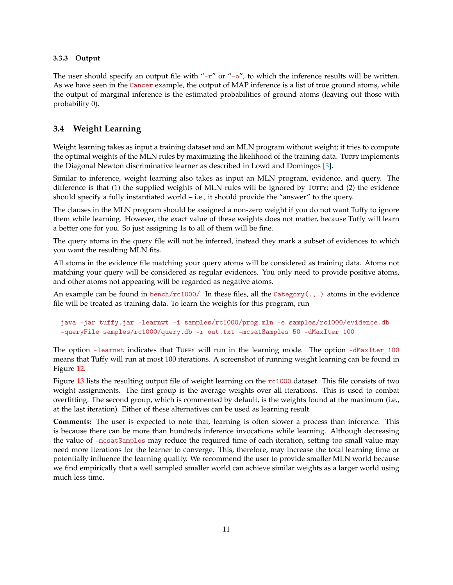#### <span id="page-10-2"></span><span id="page-10-0"></span>**3.3.3 Output**

The user should specify an output file with "-r" or "-o", to which the inference results will be written. As we have seen in the Cancer example, the output of MAP inference is a list of true ground atoms, while the output of marginal inference is the estimated probabilities of ground atoms (leaving out those with probability 0).

## <span id="page-10-1"></span>**3.4 Weight Learning**

Weight learning takes as input a training dataset and an MLN program without weight; it tries to compute the optimal weights of the MLN rules by maximizing the likelihood of the training data. Tuffy implements the Diagonal Newton discriminative learner as described in Lowd and Domingos [\[3\]](#page-17-4).

Similar to inference, weight learning also takes as input an MLN program, evidence, and query. The difference is that  $(1)$  the supplied weights of MLN rules will be ignored by TUFFY; and  $(2)$  the evidence should specify a fully instantiated world – i.e., it should provide the "answer" to the query.

The clauses in the MLN program should be assigned a non-zero weight if you do not want Tuffy to ignore them while learning. However, the exact value of these weights does not matter, because Tuffy will learn a better one for you. So just assigning 1s to all of them will be fine.

The query atoms in the query file will not be inferred, instead they mark a subset of evidences to which you want the resulting MLN fits.

All atoms in the evidence file matching your query atoms will be considered as training data. Atoms not matching your query will be considered as regular evidences. You only need to provide positive atoms, and other atoms not appearing will be regarded as negative atoms.

An example can be found in bench/rc1000/. In these files, all the Category( $\dots$ ) atoms in the evidence file will be treated as training data. To learn the weights for this program, run

```
java -jar tuffy.jar -learnwt -i samples/rc1000/prog.mln -e samples/rc1000/evidence.db
-queryFile samples/rc1000/query.db -r out.txt -mcsatSamples 50 -dMaxIter 100
```
The option -learnwt indicates that TUFFY will run in the learning mode. The option -dMaxIter 100 means that Tuffy will run at most 100 iterations. A screenshot of running weight learning can be found in Figure [12.](#page-11-0)

Figure [13](#page-12-0) lists the resulting output file of weight learning on the rc1000 dataset. This file consists of two weight assignments. The first group is the average weights over all iterations. This is used to combat overfitting. The second group, which is commented by default, is the weights found at the maximum (i.e., at the last iteration). Either of these alternatives can be used as learning result.

**Comments:** The user is expected to note that, learning is often slower a process than inference. This is because there can be more than hundreds inference invocations while learning. Although decreasing the value of -mcsatSamples may reduce the required time of each iteration, setting too small value may need more iterations for the learner to converge. This, therefore, may increase the total learning time or potentially influence the learning quality. We recommend the user to provide smaller MLN world because we find empirically that a well sampled smaller world can achieve similar weights as a larger world using much less time.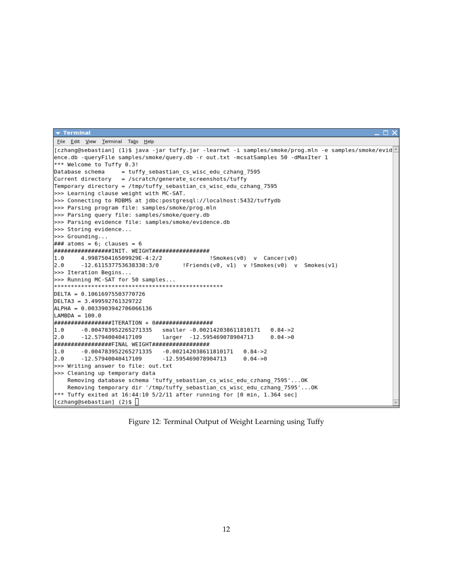```
\blacktriangledown Terminal
                                                                                                  \overline{\mathbf{x}}ш
File Edit View Terminal Tabs Help
[czhang@sebastian] (1)$ java -jar tuffy.jar -learnwt -i samples/smoke/prog.mln -e samples/smoke/evid
ence.db -queryFile samples/smoke/query.db -r out.txt -mcsatSamples 50 -dMaxIter 1
*** Welcome to Tuffy 0.3!
Database schema
                  = tuffy_sebastian_cs_wisc_edu_czhang_7595
Current directory = /scratch/generate_screenshots/tuffy
Temporary directory = /tmp/tuffy_sebastian_cs_wisc_edu_czhang_7595
>>> Learning clause weight with MC-SAT.
>>> Connecting to RDBMS at jdbc:postgresql://localhost:5432/tuffydb
>>> Parsing program file: samples/smoke/prog.mln
>>> Parsing query file: samples/smoke/query.db
>>> Parsing evidence file: samples/smoke/evidence.db
>>> Storing evidence...
>>> Grounding...
\# \# \# atoms = 6; clauses = 6
################INIT. WEIGHT#################
       4.998750416509929E-4:2/2
1.0!Smokes(v0) v Cancer(v0)
2.0-12.611537753638338:3/0!Friends(v0, v1) v !Smokes(v0) v Smokes(v1)
>>> Iteration Begins...
>>> Running MC-SAT for 50 samples...
DELTA = 0.10616975503770726
DELTA3 = 3.499592761329722
ALPHA = 0.0033903942706066136
LAMBDA = 100.0################ITERATION + 0#################
1.0-0.004783952265271335 smaller -0.002142038611810171 0.84->2
2.0-12.57940040417109
                              larger -12.595469078904713
                                                               0.04 - > 0################FINAL WEIGHT#################
       -0.004783952265271335 - 0.0021420386118101710.84 - > 21.0-12.57940040417109
                               -12.595469078904713
                                                       0.04 - 0.02.0
>>> Writing answer to file: out.txt
>>> Cleaning up temporary data
   Removing database schema 'tuffy sebastian cs wisc edu czhang 7595'...OK
   Removing temporary dir '/tmp/tuffy_sebastian_cs_wisc_edu_czhang_7595'...0K
*** Tuffy exited at 16:44:10 5/2/11 after running for [0 min, 1.364 sec]
[czhang@sebastian] (2)$ \Box
```
Figure 12: Terminal Output of Weight Learning using Tuffy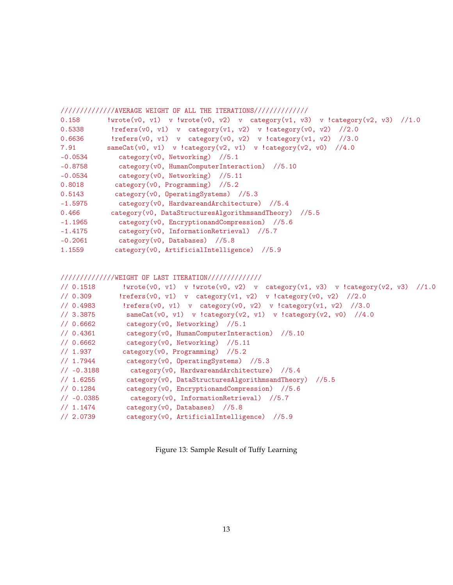<span id="page-12-0"></span>

|           | /////////////AVERAGE WEIGHT OF ALL THE ITERATIONS///////////////               |
|-----------|--------------------------------------------------------------------------------|
| 0.158     | !wrote(v0, v1) v !wrote(v0, v2) v category(v1, v3) v !category(v2, v3) //1.0   |
| 0.5338    | !refers(v0, v1) v category(v1, v2) v !category(v0, v2) //2.0                   |
| 0.6636    | $\text{!refers}(v0, v1)$ v category(v0, v2) v $\text{!category}(v1, v2)$ //3.0 |
| 7.91      | sameCat(v0, v1) v !category(v2, v1) v !category(v2, v0) //4.0                  |
| $-0.0534$ | category(v0, Networking) $//5.1$                                               |
| $-0.8758$ | category(v0, HumanComputerInteraction) //5.10                                  |
| $-0.0534$ | $category(v0, Networking)$ //5.11                                              |
| 0.8018    | $category(v0, Programming)$ //5.2                                              |
| 0.5143    | category (v0, OperatingSystems) //5.3                                          |
| $-1.5975$ | $category(v0, Hardware and Architecture)$ //5.4                                |
| 0.466     | category(v0, DataStructuresAlgorithmsandTheory) //5.5                          |
| $-1.1965$ | $category(v0, Encryption and Compression)$ //5.6                               |
| $-1.4175$ | $category(v0, InformationRetrieval)$ //5.7                                     |
| $-0.2061$ | category( $v0$ , Databases) //5.8                                              |
| 1.1559    | category(v0, ArtificialIntelligence) //5.9                                     |

//////////////WEIGHT OF LAST ITERATION//////////////

| // 0.1518          | !wrote(v0, v1) v !wrote(v0, v2) v category(v1, v3) v !category(v2, v3) //1.0 |
|--------------------|------------------------------------------------------------------------------|
| 1/0.309            | !refers(v0, v1) v category(v1, v2) v !category(v0, v2) //2.0                 |
| 1/0.4983           | !refers(v0, v1) v category(v0, v2) v !category(v1, v2) $//3.0$               |
| 1/3.3875           | sameCat(v0, v1) v !category(v2, v1) v !category(v2, v0) //4.0                |
| 1/0.6662           | category(v0, Networking) //5.1                                               |
| // 0.4361          | category(v0, HumanComputerInteraction) //5.10                                |
| 1/0.6662           | category $(v0, \text{Networking})$ //5.11                                    |
| // 1.937           | $category(v0, Programming)$ //5.2                                            |
| 1/1.7944           | $category(v0, \text{OperatingSystems})$ //5.3                                |
| $1/ -0.3188$       | category(v0, HardwareandArchitecture) //5.4                                  |
| $\frac{1}{1.6255}$ | category(v0, DataStructuresAlgorithmsandTheory) //5.5                        |
| 1/0.1284           | category(v0, EncryptionandCompression) //5.6                                 |
| $// -0.0385$       | $category(v0, InformationRetrieval)$ //5.7                                   |
| 1/1.1474           | $category(v0, Database)$ //5.8                                               |
| 1/2.0739           | $category(v0, Artificial Intelligence)$ //5.9                                |
|                    |                                                                              |

Figure 13: Sample Result of Tuffy Learning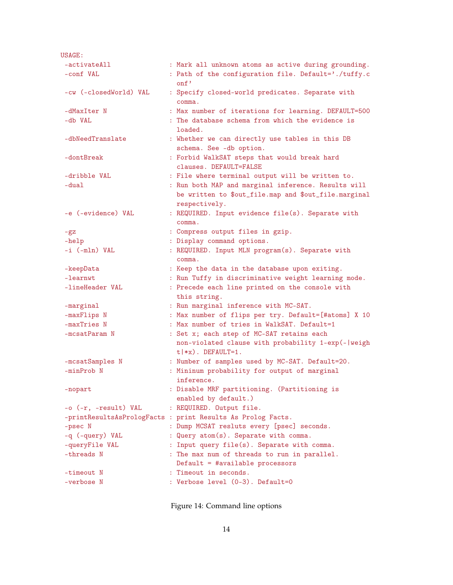<span id="page-13-0"></span>USAGE: -activateAll : Mark all unknown atoms as active during grounding. -conf VAL : Path of the configuration file. Default='./tuffy.c onf' -cw (-closedWorld) VAL : Specify closed-world predicates. Separate with comma. -dMaxIter N : Max number of iterations for learning. DEFAULT=500 -db VAL : The database schema from which the evidence is loaded. -dbNeedTranslate : Whether we can directly use tables in this DB schema. See -db option. -dontBreak : Forbid WalkSAT steps that would break hard clauses. DEFAULT=FALSE -dribble VAL : File where terminal output will be written to. -dual : Run both MAP and marginal inference. Results will be written to \$out\_file.map and \$out\_file.marginal respectively. -e (-evidence) VAL : REQUIRED. Input evidence file(s). Separate with comma. -gz : Compress output files in gzip. -help : Display command options. -i (-mln) VAL : REQUIRED. Input MLN program(s). Separate with comma. -keepData : Keep the data in the database upon exiting. -learnwt : Run Tuffy in discriminative weight learning mode. -lineHeader VAL : Precede each line printed on the console with this string. -marginal : Run marginal inference with MC-SAT. -maxFlips N : Max number of flips per try. Default=[#atoms] X 10 -maxTries N : Max number of tries in WalkSAT. Default=1 -mcsatParam N : Set x; each step of MC-SAT retains each non-violated clause with probability 1-exp(-|weigh  $t$  | \*x). DEFAULT=1. -mcsatSamples N : Number of samples used by MC-SAT. Default=20. -minProb N : Mininum probability for output of marginal inference. -nopart : Disable MRF partitioning. (Partitioning is enabled by default.) -o (-r, -result) VAL : REQUIRED. Output file. -printResultsAsPrologFacts : print Results As Prolog Facts. -psec N : Dump MCSAT resluts every [psec] seconds. -q (-query) VAL : Query atom(s). Separate with comma. -queryFile VAL : Input query file(s). Separate with comma. -threads N : The max num of threads to run in parallel. Default = #available processors -timeout N : Timeout in seconds. -verbose N : Verbose level (0-3). Default=0

Figure 14: Command line options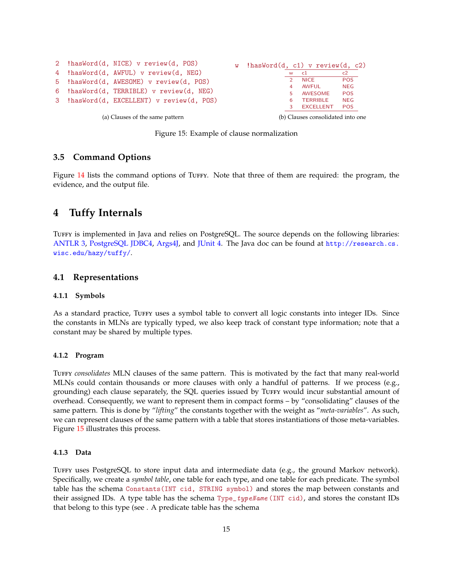<span id="page-14-6"></span>

Figure 15: Example of clause normalization

## <span id="page-14-0"></span>**3.5 Command Options**

Figure [14](#page-13-0) lists the command options of TUFFY. Note that three of them are required: the program, the evidence, and the output file.

## <span id="page-14-1"></span>**4 Tuffy Internals**

TUFFY is implemented in Java and relies on PostgreSQL. The source depends on the following libraries: [ANTLR 3,](http://www.antlr.org/) [PostgreSQL JDBC4,](http://jdbc.postgresql.org/) [Args4J,](https://args4j.dev.java.net/) and [JUnit 4.](http://www.junit.org/) The Java doc can be found at [http://research.cs.](http://research.cs.wisc.edu/hazy/tuffy/) [wisc.edu/hazy/tuffy/](http://research.cs.wisc.edu/hazy/tuffy/).

### <span id="page-14-2"></span>**4.1 Representations**

#### <span id="page-14-3"></span>**4.1.1 Symbols**

As a standard practice, Tuffy uses a symbol table to convert all logic constants into integer IDs. Since the constants in MLNs are typically typed, we also keep track of constant type information; note that a constant may be shared by multiple types.

#### <span id="page-14-4"></span>**4.1.2 Program**

Tuffy *consolidates* MLN clauses of the same pattern. This is motivated by the fact that many real-world MLNs could contain thousands or more clauses with only a handful of patterns. If we process (e.g., grounding) each clause separately, the SQL queries issued by TUFFY would incur substantial amount of overhead. Consequently, we want to represent them in compact forms – by "consolidating" clauses of the same pattern. This is done by "*lifting*" the constants together with the weight as "*meta-variables*". As such, we can represent clauses of the same pattern with a table that stores instantiations of those meta-variables. Figure [15](#page-14-6) illustrates this process.

#### <span id="page-14-5"></span>**4.1.3 Data**

Tuffy uses PostgreSQL to store input data and intermediate data (e.g., the ground Markov network). Specifically, we create a *symbol table*, one table for each type, and one table for each predicate. The symbol table has the schema Constants(INT cid, STRING symbol) and stores the map between constants and their assigned IDs. A type table has the schema Type\_typeName (INT cid), and stores the constant IDs that belong to this type (see . A predicate table has the schema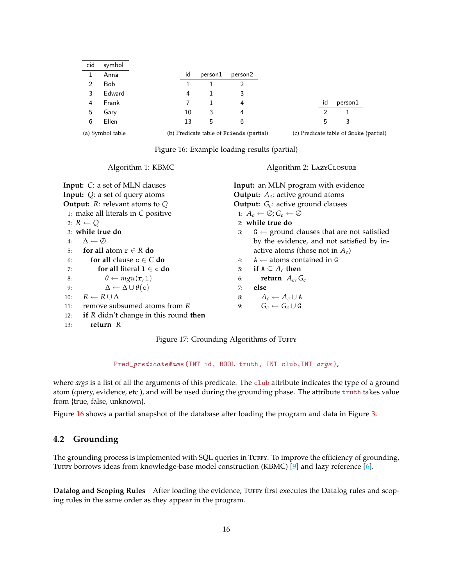<span id="page-15-3"></span><span id="page-15-1"></span>

| cid              | symbol     |    |         |                                          |    |                                  |
|------------------|------------|----|---------|------------------------------------------|----|----------------------------------|
|                  | Anna       | id | person1 | person2                                  |    |                                  |
| 2                | <b>Bob</b> |    |         |                                          |    |                                  |
| 3                | Edward     | 4  |         |                                          |    |                                  |
| 4                | Frank      |    |         | 4                                        | id | person1                          |
| 5                | Gary       | 10 | 3       | 4                                        |    |                                  |
| 6                | Ellen      | 13 | 5       | 6                                        | 5  | 3                                |
| (a) Symbol table |            |    |         | (b) Predicate table of Friends (partial) |    | (c) Predicate table of Smoke (pa |

(c) Predicate table of Smoke (partial)

Figure 16: Example loading results (partial)

Algorithm 1: KBMC

## Algorithm 2: LAZYCLOSURE

<span id="page-15-2"></span>

| <b>Input:</b> C: a set of MLN clauses           | <b>Input:</b> an MLN program with evidence                 |  |  |
|-------------------------------------------------|------------------------------------------------------------|--|--|
| <b>Input:</b> $Q$ : a set of query atoms        | <b>Output:</b> $A_c$ : active ground atoms                 |  |  |
| <b>Output:</b> $R$ : relevant atoms to $Q$      | <b>Output:</b> $G_c$ : active ground clauses               |  |  |
| 1: make all literals in $C$ positive            | 1: $A_c \leftarrow \emptyset$ ; $G_c \leftarrow \emptyset$ |  |  |
| 2: $R \leftarrow Q$                             | $2:$ while true do                                         |  |  |
| 3: while true do                                | $G \leftarrow$ ground clauses that are not satisfied<br>3: |  |  |
| $\Delta \leftarrow \varnothing$<br>4:           | by the evidence, and not satisfied by in-                  |  |  |
| for all atom $r \in R$ do<br>5:                 | active atoms (those not in $A_c$ )                         |  |  |
| for all clause $c \in C$ do<br>6:               | $A \leftarrow$ atoms contained in G<br>4:                  |  |  |
| for all literal $1 \in \mathsf{c}$ do<br>7:     | if $A \subseteq A_c$ then<br>5:                            |  |  |
| $\theta \leftarrow mgu(r,1)$<br>8:              | return $A_c$ , $G_c$<br>6:                                 |  |  |
| $\Delta \leftarrow \Delta \cup \theta(c)$<br>9: | else<br>7:                                                 |  |  |
| $R \leftarrow R \cup \Delta$<br>10:             | $A_c \leftarrow A_c \cup A$<br>8:                          |  |  |
| remove subsumed atoms from R<br>11:             | $G_c \leftarrow G_c \cup G$<br>9:                          |  |  |
| if $R$ didn't change in this round then<br>12:  |                                                            |  |  |
| return $R$<br>13:                               |                                                            |  |  |

Figure 17: Grounding Algorithms of TUFFY

Pred\_predicateName (INT id, BOOL truth, INT club, INT args),

where *args* is a list of all the arguments of this predicate. The club attribute indicates the type of a ground atom (query, evidence, etc.), and will be used during the grounding phase. The attribute truth takes value from {true, false, unknown}.

Figure [16](#page-15-1) shows a partial snapshot of the database after loading the program and data in Figure [3.](#page-4-0)

## <span id="page-15-0"></span>**4.2 Grounding**

The grounding process is implemented with SQL queries in TuFFY. To improve the efficiency of grounding, TUFFY borrows ideas from knowledge-base model construction (KBMC) [\[9\]](#page-18-0) and lazy reference [\[6\]](#page-17-5).

**Datalog and Scoping Rules** After loading the evidence, Tuffy first executes the Datalog rules and scoping rules in the same order as they appear in the program.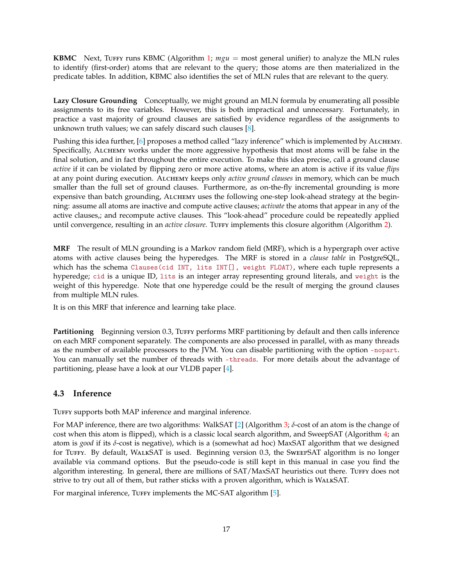<span id="page-16-1"></span>**KBMC** Next, Tuffy runs KBMC (Algorithm [1;](#page-15-2)  $mgu = \text{most general unifier}$ ) to analyze the MLN rules to identify (first-order) atoms that are relevant to the query; those atoms are then materialized in the predicate tables. In addition, KBMC also identifies the set of MLN rules that are relevant to the query.

**Lazy Closure Grounding** Conceptually, we might ground an MLN formula by enumerating all possible assignments to its free variables. However, this is both impractical and unnecessary. Fortunately, in practice a vast majority of ground clauses are satisfied by evidence regardless of the assignments to unknown truth values; we can safely discard such clauses [\[8\]](#page-18-1).

Pushing this idea further, [\[6\]](#page-17-5) proposes a method called "lazy inference" which is implemented by ALCHEMY. Specifically, ALCHEMY works under the more aggressive hypothesis that most atoms will be false in the final solution, and in fact throughout the entire execution. To make this idea precise, call a ground clause *active* if it can be violated by flipping zero or more active atoms, where an atom is active if its value *flips* at any point during execution. ALCHEMY keeps only *active ground clauses* in memory, which can be much smaller than the full set of ground clauses. Furthermore, as on-the-fly incremental grounding is more expensive than batch grounding, ALCHEMY uses the following one-step look-ahead strategy at the beginning: assume all atoms are inactive and compute active clauses; *activate* the atoms that appear in any of the active clauses,; and recompute active clauses. This "look-ahead" procedure could be repeatedly applied until convergence, resulting in an *active closure*. Turfy implements this closure algorithm (Algorithm [2\)](#page-15-2).

**MRF** The result of MLN grounding is a Markov random field (MRF), which is a hypergraph over active atoms with active clauses being the hyperedges. The MRF is stored in a *clause table* in PostgreSQL, which has the schema Clauses(cid INT, lits INT[], weight FLOAT), where each tuple represents a hyperedge; cid is a unique ID, lits is an integer array representing ground literals, and weight is the weight of this hyperedge. Note that one hyperedge could be the result of merging the ground clauses from multiple MLN rules.

It is on this MRF that inference and learning take place.

Partitioning Beginning version 0.3, Turry performs MRF partitioning by default and then calls inference on each MRF component separately. The components are also processed in parallel, with as many threads as the number of available processors to the JVM. You can disable partitioning with the option -nopart. You can manually set the number of threads with -threads. For more details about the advantage of partitioning, please have a look at our VLDB paper [\[4\]](#page-17-3).

## <span id="page-16-0"></span>**4.3 Inference**

TUFFY supports both MAP inference and marginal inference.

For MAP inference, there are two algorithms: WalkSAT [\[2\]](#page-17-6) (Algorithm [3;](#page-17-7) *δ*-cost of an atom is the change of cost when this atom is flipped), which is a classic local search algorithm, and SweepSAT (Algorithm [4;](#page-17-7) an atom is *good* if its *δ*-cost is negative), which is a (somewhat ad hoc) MaxSAT algorithm that we designed for Tuffy. By default, WalkSAT is used. Beginning version 0.3, the SweepSAT algorithm is no longer available via command options. But the pseudo-code is still kept in this manual in case you find the algorithm interesting. In general, there are millions of SAT/MaxSAT heuristics out there. TuFFY does not strive to try out all of them, but rather sticks with a proven algorithm, which is WalkSAT.

For marginal inference, TUFFY implements the MC-SAT algorithm [\[5\]](#page-17-8).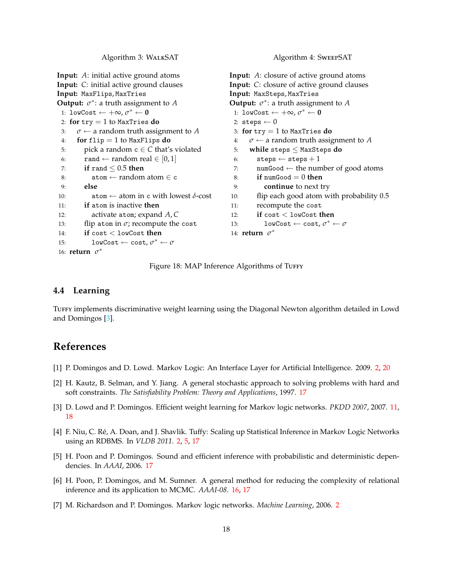Algorithm 3: WALKSAT

```
Input: A: initial active ground atoms
Input: C: initial active ground clauses
Input: MaxFlips, MaxTries
Output: \sigma^*: a truth assignment to A
 1: lowCost ← +∞, σ
∗ ← 0
 2: for try = 1 to MaxTries do
 3: \sigma \leftarrow a random truth assignment to A
 4: for flip = 1 to MaxFlips do
 5: pick a random c \in C that's violated
 6: rand ← random real \in [0,1]
 7: if rand ≤ 0.5 then
 8: \qquad \qquad \text{atom} \leftarrow \text{random atom} \in \text{c}9: else
10: \qquad \qquad \text{atom} \leftarrow \text{atom in c with lowest } \delta\text{-cost}11: if atom is inactive then
12: activate atom; expand A, C
13: flip atom in \sigma; recompute the cost
14: if cost < lowCost then
15: lowCost \leftarrow cost, \sigma^* \leftarrow \sigma16: return σ
∗
                                                        Input: A: closure of active ground atoms
                                                        Input: C: closure of active ground clauses
                                                        Input: MaxSteps, MaxTries
                                                        Output: \sigma^*: a truth assignment to A
                                                          1: lowCost ← +∞, σ
∗ ← 0
                                                         2: steps \leftarrow 03: for try = 1 to MaxTries do
                                                         4: \sigma \leftarrow a random truth assignment to A
                                                         5: while steps ≤ MaxSteps do
                                                         6: steps \leftarrow steps +17: numGood \leftarrow the number of good atoms
                                                         8: if numGood = 0 then
                                                         9: continue to next try
                                                        10: flip each good atom with probability 0.5
                                                        11: recompute the cost
                                                        12: if cost < lowCost then
                                                         13: lowCost \leftarrow cost, \sigma^* \leftarrow \sigma14: return σ
∗
```
Figure 18: MAP Inference Algorithms of TUFFY

#### <span id="page-17-0"></span>**4.4 Learning**

TUFFY implements discriminative weight learning using the Diagonal Newton algorithm detailed in Lowd and Domingos [\[3\]](#page-17-4).

# **References**

- <span id="page-17-2"></span>[1] P. Domingos and D. Lowd. Markov Logic: An Interface Layer for Artificial Intelligence. 2009. [2,](#page-1-2) [20](#page-19-3)
- <span id="page-17-6"></span>[2] H. Kautz, B. Selman, and Y. Jiang. A general stochastic approach to solving problems with hard and soft constraints. *The Satisfiability Problem: Theory and Applications*, 1997. [17](#page-16-1)
- <span id="page-17-4"></span>[3] D. Lowd and P. Domingos. Efficient weight learning for Markov logic networks. *PKDD 2007*, 2007. [11,](#page-10-2) [18](#page-17-9)
- <span id="page-17-3"></span>[4] F. Niu, C. Ré, A. Doan, and J. Shavlik. Tuffy: Scaling up Statistical Inference in Markov Logic Networks using an RDBMS. In *VLDB 2011*. [2,](#page-1-2) [5,](#page-4-4) [17](#page-16-1)
- <span id="page-17-8"></span>[5] H. Poon and P. Domingos. Sound and efficient inference with probabilistic and deterministic dependencies. In *AAAI*, 2006. [17](#page-16-1)
- <span id="page-17-5"></span>[6] H. Poon, P. Domingos, and M. Sumner. A general method for reducing the complexity of relational inference and its application to MCMC. *AAAI-08*. [16,](#page-15-3) [17](#page-16-1)
- <span id="page-17-1"></span>[7] M. Richardson and P. Domingos. Markov logic networks. *Machine Learning*, 2006. [2](#page-1-2)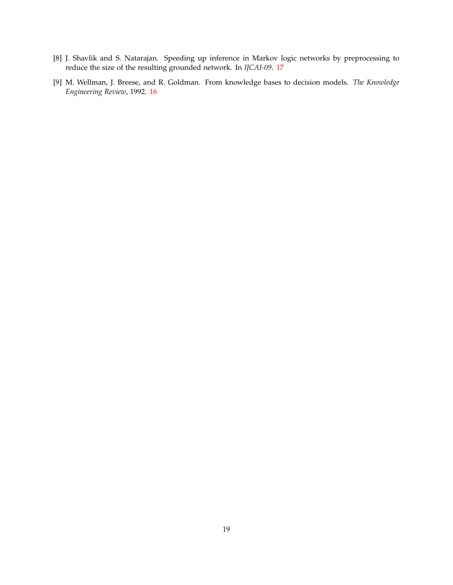- <span id="page-18-1"></span>[8] J. Shavlik and S. Natarajan. Speeding up inference in Markov logic networks by preprocessing to reduce the size of the resulting grounded network. In *IJCAI-09*. [17](#page-16-1)
- <span id="page-18-0"></span>[9] M. Wellman, J. Breese, and R. Goldman. From knowledge bases to decision models. *The Knowledge Engineering Review*, 1992. [16](#page-15-3)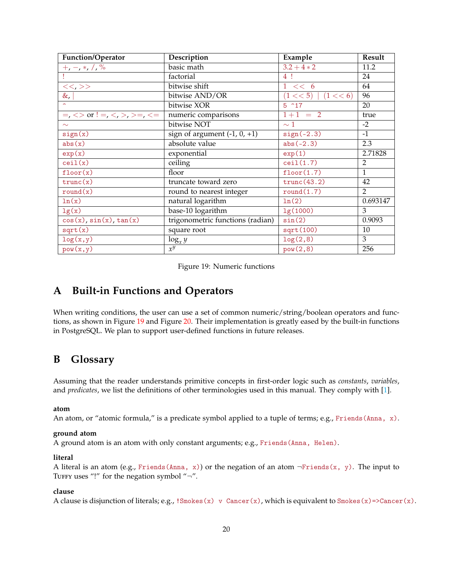<span id="page-19-3"></span><span id="page-19-2"></span>

| Function/Operator                                           | Description                      | Example              | Result         |
|-------------------------------------------------------------|----------------------------------|----------------------|----------------|
| $+$ , $-$ , $*$ , $/$ , $\%$                                | basic math                       | $3.2 + 4 * 2$        | 11.2           |
|                                                             | factorial                        | 4!                   | 24             |
| <<,>>                                                       | bitwise shift                    | $1 \leq \leq 6$      | 64             |
| $\&$ ,                                                      | bitwise AND/OR                   | (1 << 5)<br>(1 << 6) | 96             |
|                                                             | bitwise XOR                      | 5~17                 | 20             |
| $=,$ $\lt$ $>$ or ! $=$ , $\lt$ , $>$ , $>$ $=$ , $\lt$ $=$ | numeric comparisons              | $1+1 = 2$            | true           |
| $\sim$                                                      | bitwise NOT                      | $\sim$ 1             | $-2$           |
| sign(x)                                                     | sign of argument $(-1, 0, +1)$   | $sign(-2.3)$         | $-1$           |
| abs(x)                                                      | absolute value                   | $abs(-2.3)$          | 2.3            |
| exp(x)                                                      | exponential                      | exp(1)               | 2.71828        |
| ceil(x)                                                     | ceiling                          | ceil(1.7)            | $\overline{2}$ |
| floor(x)                                                    | floor                            | floor(1.7)           | $\mathbf{1}$   |
| trunc(x)                                                    | truncate toward zero             | trunc(43.2)          | 42             |
| round(x)                                                    | round to nearest integer         | round(1.7)           | $\overline{2}$ |
| ln(x)                                                       | natural logarithm                | ln(2)                | 0.693147       |
| lg(x)                                                       | base-10 logarithm                | lg(1000)             | 3              |
| cos(x), sin(x), tan(x)                                      | trigonometric functions (radian) | sin(2)               | 0.9093         |
| sqrt(x)                                                     | square root                      | sqrt(100)            | 10             |
| log(x, y)                                                   | $\log_x y$                       | log(2, 8)            | 3              |
| $\overline{pow(x,y)}$                                       | $x^y$                            | pow(2,8)             | 256            |

Figure 19: Numeric functions

# <span id="page-19-0"></span>**A Built-in Functions and Operators**

When writing conditions, the user can use a set of common numeric/string/boolean operators and functions, as shown in Figure [19](#page-19-2) and Figure [20.](#page-20-0) Their implementation is greatly eased by the built-in functions in PostgreSQL. We plan to support user-defined functions in future releases.

## <span id="page-19-1"></span>**B Glossary**

Assuming that the reader understands primitive concepts in first-order logic such as *constants*, *variables*, and *predicates*, we list the definitions of other terminologies used in this manual. They comply with [\[1\]](#page-17-2).

#### **atom**

An atom, or "atomic formula," is a predicate symbol applied to a tuple of terms; e.g., Friends (Anna, x).

#### **ground atom**

A ground atom is an atom with only constant arguments; e.g., Friends(Anna, Helen).

#### **literal**

A literal is an atom (e.g., Friends(Anna, x)) or the negation of an atom  $\neg$ Friends(x, y). The input to TUFFY uses "!" for the negation symbol " $\neg$ ".

#### **clause**

A clause is disjunction of literals; e.g., !Smokes(x) v Cancer(x), which is equivalent to Smokes(x)=>Cancer(x).